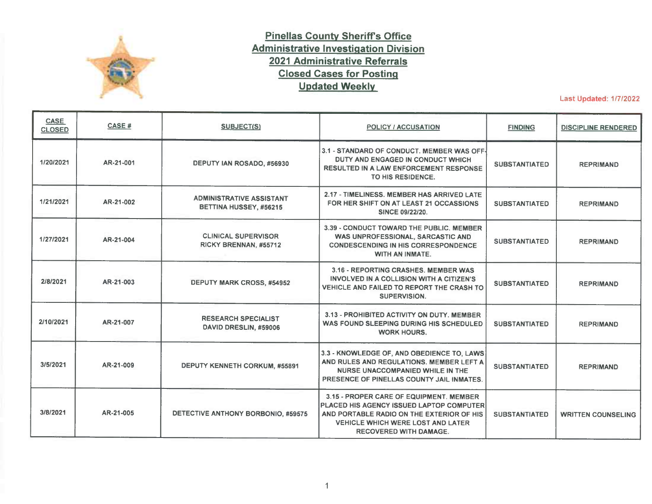

## **Pinellas County Sheriffs Office Administrative Investigation Division 2021 Administrative Referrals Closed Cases for Posting Updated Weekly**

Last Updated: 1/7/2022

| <b>CASE</b><br><b>CLOSED</b> | <b>CASE#</b> | <b>SUBJECT(S)</b>                                         | <b>POLICY / ACCUSATION</b>                                                                                                                                                                                    | <b>FINDING</b>       | <b>DISCIPLINE RENDERED</b> |
|------------------------------|--------------|-----------------------------------------------------------|---------------------------------------------------------------------------------------------------------------------------------------------------------------------------------------------------------------|----------------------|----------------------------|
| 1/20/2021                    | AR-21-001    | DEPUTY IAN ROSADO, #56930                                 | 3.1 - STANDARD OF CONDUCT, MEMBER WAS OFF-<br>DUTY AND ENGAGED IN CONDUCT WHICH<br><b>RESULTED IN A LAW ENFORCEMENT RESPONSE</b><br>TO HIS RESIDENCE.                                                         | <b>SUBSTANTIATED</b> | <b>REPRIMAND</b>           |
| 1/21/2021                    | AR-21-002    | <b>ADMINISTRATIVE ASSISTANT</b><br>BETTINA HUSSEY, #56215 | 2.17 - TIMELINESS, MEMBER HAS ARRIVED LATE.<br>FOR HER SHIFT ON AT LEAST 21 OCCASSIONS<br><b>SINCE 09/22/20.</b>                                                                                              | <b>SUBSTANTIATED</b> | <b>REPRIMAND</b>           |
| 1/27/2021                    | AR-21-004    | <b>CLINICAL SUPERVISOR</b><br>RICKY BRENNAN, #55712       | 3.39 - CONDUCT TOWARD THE PUBLIC, MEMBER<br>WAS UNPROFESSIONAL, SARCASTIC AND<br><b>CONDESCENDING IN HIS CORRESPONDENCE</b><br><b>WITH AN INMATE.</b>                                                         | <b>SUBSTANTIATED</b> | <b>REPRIMAND</b>           |
| 2/8/2021                     | AR-21-003    | <b>DEPUTY MARK CROSS, #54952</b>                          | 3.16 - REPORTING CRASHES. MEMBER WAS<br>INVOLVED IN A COLLISION WITH A CITIZEN'S<br>VEHICLE AND FAILED TO REPORT THE CRASH TO<br><b>SUPERVISION.</b>                                                          | <b>SUBSTANTIATED</b> | <b>REPRIMAND</b>           |
| 2/10/2021                    | AR-21-007    | <b>RESEARCH SPECIALIST</b><br>DAVID DRESLIN, #59006       | 3.13 - PROHIBITED ACTIVITY ON DUTY. MEMBER<br>WAS FOUND SLEEPING DURING HIS SCHEDULED<br><b>WORK HOURS.</b>                                                                                                   | <b>SUBSTANTIATED</b> | <b>REPRIMAND</b>           |
| 3/5/2021                     | AR-21-009    | <b>DEPUTY KENNETH CORKUM, #55891</b>                      | 3.3 - KNOWLEDGE OF, AND OBEDIENCE TO, LAWS<br>AND RULES AND REGULATIONS. MEMBER LEFT A<br><b>NURSE UNACCOMPANIED WHILE IN THE</b><br>PRESENCE OF PINELLAS COUNTY JAIL INMATES.                                | <b>SUBSTANTIATED</b> | <b>REPRIMAND</b>           |
| 3/8/2021                     | AR-21-005    | DETECTIVE ANTHONY BORBONIO, #59575                        | 3.15 - PROPER CARE OF EQUIPMENT. MEMBER<br>PLACED HIS AGENCY ISSUED LAPTOP COMPUTER<br>AND PORTABLE RADIO ON THE EXTERIOR OF HIS<br><b>VEHICLE WHICH WERE LOST AND LATER</b><br><b>RECOVERED WITH DAMAGE.</b> | <b>SUBSTANTIATED</b> | <b>WRITTEN COUNSELING</b>  |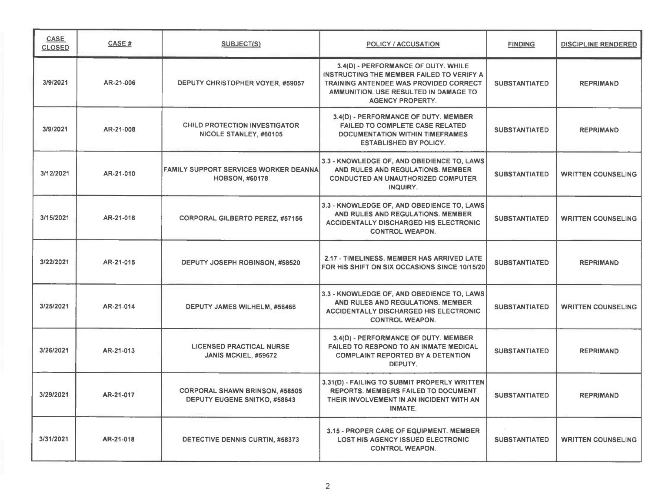| <b>CASE</b><br><b>CLOSED</b> | CASE #    | <b>SUBJECT(S)</b>                                                     | POLICY / ACCUSATION                                                                                                                                                                            | <b>FINDING</b>       | <b>DISCIPLINE RENDERED</b> |
|------------------------------|-----------|-----------------------------------------------------------------------|------------------------------------------------------------------------------------------------------------------------------------------------------------------------------------------------|----------------------|----------------------------|
| 3/9/2021                     | AR-21-006 | DEPUTY CHRISTOPHER VOYER, #59057                                      | 3.4(D) - PERFORMANCE OF DUTY. WHILE<br>INSTRUCTING THE MEMBER FAILED TO VERIFY A<br>TRAINING ANTENDEE WAS PROVIDED CORRECT<br>AMMUNITION. USE RESULTED IN DAMAGE TO<br><b>AGENCY PROPERTY.</b> | <b>SUBSTANTIATED</b> | <b>REPRIMAND</b>           |
| 3/9/2021                     | AR-21-008 | <b>CHILD PROTECTION INVESTIGATOR</b><br>NICOLE STANLEY, #60105        | 3.4(D) - PERFORMANCE OF DUTY. MEMBER<br><b>FAILED TO COMPLETE CASE RELATED</b><br><b>DOCUMENTATION WITHIN TIMEFRAMES</b><br><b>ESTABLISHED BY POLICY.</b>                                      | <b>SUBSTANTIATED</b> | <b>REPRIMAND</b>           |
| 3/12/2021                    | AR-21-010 | <b>FAMILY SUPPORT SERVICES WORKER DEANNA</b><br><b>HOBSON, #60178</b> | 3.3 - KNOWLEDGE OF, AND OBEDIENCE TO, LAWS<br>AND RULES AND REGULATIONS. MEMBER<br><b>CONDUCTED AN UNAUTHORIZED COMPUTER</b><br>INQUIRY.                                                       | <b>SUBSTANTIATED</b> | <b>WRITTEN COUNSELING</b>  |
| 3/15/2021                    | AR-21-016 | <b>CORPORAL GILBERTO PEREZ, #57156</b>                                | 3.3 - KNOWLEDGE OF, AND OBEDIENCE TO, LAWS<br>AND RULES AND REGULATIONS, MEMBER<br><b>ACCIDENTALLY DISCHARGED HIS ELECTRONIC</b><br><b>CONTROL WEAPON.</b>                                     | <b>SUBSTANTIATED</b> | <b>WRITTEN COUNSELING</b>  |
| 3/22/2021                    | AR-21-015 | DEPUTY JOSEPH ROBINSON, #58520                                        | 2.17 - TIMELINESS. MEMBER HAS ARRIVED LATE<br>FOR HIS SHIFT ON SIX OCCASIONS SINCE 10/15/20                                                                                                    | <b>SUBSTANTIATED</b> | <b>REPRIMAND</b>           |
| 3/25/2021                    | AR-21-014 | DEPUTY JAMES WILHELM, #56466                                          | 3.3 - KNOWLEDGE OF, AND OBEDIENCE TO, LAWS<br>AND RULES AND REGULATIONS. MEMBER<br><b>ACCIDENTALLY DISCHARGED HIS ELECTRONIC</b><br><b>CONTROL WEAPON.</b>                                     | <b>SUBSTANTIATED</b> | <b>WRITTEN COUNSELING</b>  |
| 3/26/2021                    | AR-21-013 | <b>LICENSED PRACTICAL NURSE</b><br>JANIS MCKIEL, #59672               | 3.4(D) - PERFORMANCE OF DUTY. MEMBER<br><b>FAILED TO RESPOND TO AN INMATE MEDICAL</b><br><b>COMPLAINT REPORTED BY A DETENTION</b><br>DEPUTY.                                                   | <b>SUBSTANTIATED</b> | <b>REPRIMAND</b>           |
| 3/29/2021                    | AR-21-017 | <b>CORPORAL SHAWN BRINSON, #58505</b><br>DEPUTY EUGENE SNITKO, #58643 | 3.31(D) - FAILING TO SUBMIT PROPERLY WRITTEN<br><b>REPORTS. MEMBERS FAILED TO DOCUMENT</b><br>THEIR INVOLVEMENT IN AN INCIDENT WITH AN<br>INMATE.                                              | <b>SUBSTANTIATED</b> | <b>REPRIMAND</b>           |
| 3/31/2021                    | AR-21-018 | DETECTIVE DENNIS CURTIN, #58373                                       | 3.15 - PROPER CARE OF EQUIPMENT. MEMBER<br><b>LOST HIS AGENCY ISSUED ELECTRONIC</b><br><b>CONTROL WEAPON.</b>                                                                                  | <b>SUBSTANTIATED</b> | <b>WRITTEN COUNSELING</b>  |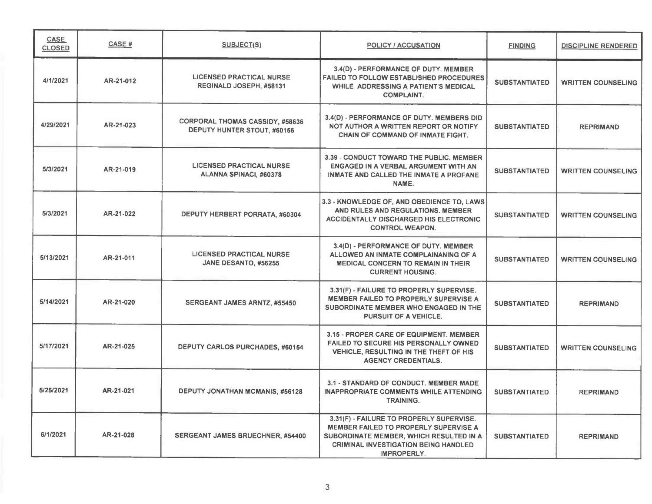| <b>CASE</b><br><b>CLOSED</b> | <b>CASE#</b> | <b>SUBJECT(S)</b>                                                     | <b>POLICY / ACCUSATION</b>                                                                                                                                                                               | <b>FINDING</b>       | <b>DISCIPLINE RENDERED</b> |
|------------------------------|--------------|-----------------------------------------------------------------------|----------------------------------------------------------------------------------------------------------------------------------------------------------------------------------------------------------|----------------------|----------------------------|
| 4/1/2021                     | AR-21-012    | <b>LICENSED PRACTICAL NURSE</b><br>REGINALD JOSEPH, #58131            | 3.4(D) - PERFORMANCE OF DUTY. MEMBER<br><b>FAILED TO FOLLOW ESTABLISHED PROCEDURES</b><br><b>WHILE ADDRESSING A PATIENT'S MEDICAL</b><br><b>COMPLAINT.</b>                                               | <b>SUBSTANTIATED</b> | <b>WRITTEN COUNSELING</b>  |
| 4/29/2021                    | AR-21-023    | <b>CORPORAL THOMAS CASSIDY, #58636</b><br>DEPUTY HUNTER STOUT, #60156 | 3.4(D) - PERFORMANCE OF DUTY. MEMBERS DID<br>NOT AUTHOR A WRITTEN REPORT OR NOTIFY<br><b>CHAIN OF COMMAND OF INMATE FIGHT.</b>                                                                           | <b>SUBSTANTIATED</b> | <b>REPRIMAND</b>           |
| 5/3/2021                     | AR-21-019    | <b>LICENSED PRACTICAL NURSE</b><br>ALANNA SPINACI, #60378             | 3.39 - CONDUCT TOWARD THE PUBLIC, MEMBER<br>ENGAGED IN A VERBAL ARGUMENT WITH AN<br>INMATE AND CALLED THE INMATE A PROFANE<br>NAME.                                                                      | <b>SUBSTANTIATED</b> | <b>WRITTEN COUNSELING</b>  |
| 5/3/2021                     | AR-21-022    | DEPUTY HERBERT PORRATA, #60304                                        | 3.3 - KNOWLEDGE OF, AND OBEDIENCE TO, LAWS<br>AND RULES AND REGULATIONS, MEMBER<br><b>ACCIDENTALLY DISCHARGED HIS ELECTRONIC</b><br><b>CONTROL WEAPON.</b>                                               | <b>SUBSTANTIATED</b> | <b>WRITTEN COUNSELING</b>  |
| 5/13/2021                    | AR-21-011    | <b>LICENSED PRACTICAL NURSE</b><br>JANE DESANTO, #56255               | 3.4(D) - PERFORMANCE OF DUTY, MEMBER<br>ALLOWED AN INMATE COMPLAINANING OF A<br><b>MEDICAL CONCERN TO REMAIN IN THEIR</b><br><b>CURRENT HOUSING.</b>                                                     | <b>SUBSTANTIATED</b> | <b>WRITTEN COUNSELING</b>  |
| 5/14/2021                    | AR-21-020    | SERGEANT JAMES ARNTZ, #55450                                          | 3.31(F) - FAILURE TO PROPERLY SUPERVISE.<br><b>MEMBER FAILED TO PROPERLY SUPERVISE A</b><br>SUBORDINATE MEMBER WHO ENGAGED IN THE<br><b>PURSUIT OF A VEHICLE.</b>                                        | <b>SUBSTANTIATED</b> | <b>REPRIMAND</b>           |
| 5/17/2021                    | AR-21-025    | DEPUTY CARLOS PURCHADES, #60154                                       | 3.15 - PROPER CARE OF EQUIPMENT, MEMBER<br><b>FAILED TO SECURE HIS PERSONALLY OWNED</b><br>VEHICLE, RESULTING IN THE THEFT OF HIS<br><b>AGENCY CREDENTIALS.</b>                                          | <b>SUBSTANTIATED</b> | <b>WRITTEN COUNSELING</b>  |
| 5/25/2021                    | AR-21-021    | <b>DEPUTY JONATHAN MCMANIS, #56128</b>                                | 3.1 - STANDARD OF CONDUCT. MEMBER MADE<br><b>INAPPROPRIATE COMMENTS WHILE ATTENDING</b><br><b>TRAINING.</b>                                                                                              | <b>SUBSTANTIATED</b> | <b>REPRIMAND</b>           |
| 6/1/2021                     | AR-21-028    | SERGEANT JAMES BRUECHNER, #54400                                      | 3.31(F) - FAILURE TO PROPERLY SUPERVISE.<br><b>MEMBER FAILED TO PROPERLY SUPERVISE A</b><br>SUBORDINATE MEMBER, WHICH RESULTED IN A<br><b>CRIMINAL INVESTIGATION BEING HANDLED</b><br><b>IMPROPERLY.</b> | <b>SUBSTANTIATED</b> | <b>REPRIMAND</b>           |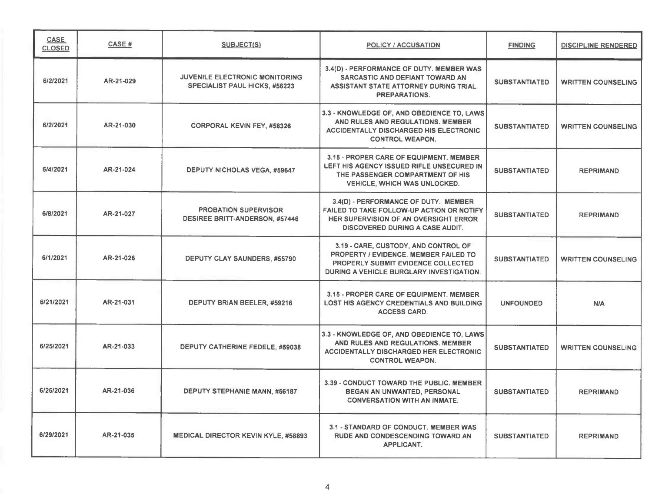| <b>CASE</b><br><b>CLOSED</b> | <b>CASE#</b> | <b>SUBJECT(S)</b>                                                      | <b>POLICY / ACCUSATION</b>                                                                                                                                                  | <b>FINDING</b>       | <b>DISCIPLINE RENDERED</b> |
|------------------------------|--------------|------------------------------------------------------------------------|-----------------------------------------------------------------------------------------------------------------------------------------------------------------------------|----------------------|----------------------------|
| 6/2/2021                     | AR-21-029    | JUVENILE ELECTRONIC MONITORING<br><b>SPECIALIST PAUL HICKS, #56223</b> | 3.4(D) - PERFORMANCE OF DUTY. MEMBER WAS<br>SARCASTIC AND DEFIANT TOWARD AN<br>ASSISTANT STATE ATTORNEY DURING TRIAL<br>PREPARATIONS.                                       | <b>SUBSTANTIATED</b> | <b>WRITTEN COUNSELING</b>  |
| 6/2/2021                     | AR-21-030    | <b>CORPORAL KEVIN FEY, #58326</b>                                      | 3.3 - KNOWLEDGE OF, AND OBEDIENCE TO, LAWS<br>AND RULES AND REGULATIONS. MEMBER<br><b>ACCIDENTALLY DISCHARGED HIS ELECTRONIC</b><br><b>CONTROL WEAPON.</b>                  | <b>SUBSTANTIATED</b> | <b>WRITTEN COUNSELING</b>  |
| 6/4/2021                     | AR-21-024    | <b>DEPUTY NICHOLAS VEGA, #59647</b>                                    | 3.15 - PROPER CARE OF EQUIPMENT, MEMBER<br>LEFT HIS AGENCY ISSUED RIFLE UNSECURED IN<br>THE PASSENGER COMPARTMENT OF HIS<br><b>VEHICLE, WHICH WAS UNLOCKED.</b>             | <b>SUBSTANTIATED</b> | <b>REPRIMAND</b>           |
| 6/8/2021                     | AR-21-027    | <b>PROBATION SUPERVISOR</b><br><b>DESIREE BRITT-ANDERSON, #57446</b>   | 3.4(D) - PERFORMANCE OF DUTY. MEMBER<br>FAILED TO TAKE FOLLOW-UP ACTION OR NOTIFY<br><b>HER SUPERVISION OF AN OVERSIGHT ERROR</b><br><b>DISCOVERED DURING A CASE AUDIT.</b> | <b>SUBSTANTIATED</b> | <b>REPRIMAND</b>           |
| 6/1/2021                     | AR-21-026    | <b>DEPUTY CLAY SAUNDERS, #55790</b>                                    | 3.19 - CARE, CUSTODY, AND CONTROL OF<br>PROPERTY / EVIDENCE. MEMBER FAILED TO<br><b>PROPERLY SUBMIT EVIDENCE COLLECTED</b><br>DURING A VEHICLE BURGLARY INVESTIGATION.      | <b>SUBSTANTIATED</b> | <b>WRITTEN COUNSELING</b>  |
| 6/21/2021                    | AR-21-031    | DEPUTY BRIAN BEELER, #59216                                            | 3.15 - PROPER CARE OF EQUIPMENT. MEMBER<br><b>LOST HIS AGENCY CREDENTIALS AND BUILDING</b><br><b>ACCESS CARD.</b>                                                           | <b>UNFOUNDED</b>     | N/A                        |
| 6/25/2021                    | AR-21-033    | DEPUTY CATHERINE FEDELE, #59038                                        | 3.3 - KNOWLEDGE OF, AND OBEDIENCE TO, LAWS<br>AND RULES AND REGULATIONS. MEMBER<br><b>ACCIDENTALLY DISCHARGED HER ELECTRONIC</b><br><b>CONTROL WEAPON.</b>                  | <b>SUBSTANTIATED</b> | <b>WRITTEN COUNSELING</b>  |
| 6/25/2021                    | AR-21-036    | DEPUTY STEPHANIE MANN, #56187                                          | 3.39 - CONDUCT TOWARD THE PUBLIC. MEMBER<br>BEGAN AN UNWANTED, PERSONAL<br><b>CONVERSATION WITH AN INMATE.</b>                                                              | <b>SUBSTANTIATED</b> | <b>REPRIMAND</b>           |
| 6/29/2021                    | AR-21-035    | <b>MEDICAL DIRECTOR KEVIN KYLE, #58893</b>                             | 3.1 - STANDARD OF CONDUCT. MEMBER WAS<br><b>RUDE AND CONDESCENDING TOWARD AN</b><br>APPLICANT.                                                                              | <b>SUBSTANTIATED</b> | <b>REPRIMAND</b>           |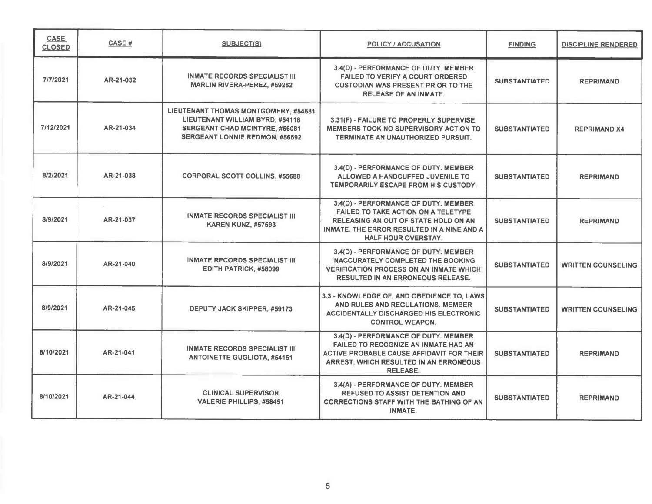| CASE<br><b>CLOSED</b> | CASE#     | <b>SUBJECT(S)</b>                                                                                                                                  | <b>POLICY / ACCUSATION</b>                                                                                                                                                                             | <b>FINDING</b>       | <b>DISCIPLINE RENDERED</b> |
|-----------------------|-----------|----------------------------------------------------------------------------------------------------------------------------------------------------|--------------------------------------------------------------------------------------------------------------------------------------------------------------------------------------------------------|----------------------|----------------------------|
| 7/7/2021              | AR-21-032 | <b>INMATE RECORDS SPECIALIST III</b><br><b>MARLIN RIVERA-PEREZ, #59262</b>                                                                         | 3.4(D) - PERFORMANCE OF DUTY. MEMBER<br><b>FAILED TO VERIFY A COURT ORDERED</b><br><b>CUSTODIAN WAS PRESENT PRIOR TO THE</b><br><b>RELEASE OF AN INMATE.</b>                                           | <b>SUBSTANTIATED</b> | <b>REPRIMAND</b>           |
| 7/12/2021             | AR-21-034 | LIEUTENANT THOMAS MONTGOMERY, #54581<br>LIEUTENANT WILLIAM BYRD, #54118<br>SERGEANT CHAD MCINTYRE, #56081<br><b>SERGEANT LONNIE REDMON, #56592</b> | 3.31(F) - FAILURE TO PROPERLY SUPERVISE.<br>MEMBERS TOOK NO SUPERVISORY ACTION TO<br>TERMINATE AN UNAUTHORIZED PURSUIT.                                                                                | <b>SUBSTANTIATED</b> | <b>REPRIMAND X4</b>        |
| 8/2/2021              | AR-21-038 | <b>CORPORAL SCOTT COLLINS, #55688</b>                                                                                                              | 3.4(D) - PERFORMANCE OF DUTY. MEMBER<br>ALLOWED A HANDCUFFED JUVENILE TO<br>TEMPORARILY ESCAPE FROM HIS CUSTODY.                                                                                       | <b>SUBSTANTIATED</b> | <b>REPRIMAND</b>           |
| 8/9/2021              | AR-21-037 | <b>INMATE RECORDS SPECIALIST III</b><br><b>KAREN KUNZ, #57593</b>                                                                                  | 3.4(D) - PERFORMANCE OF DUTY. MEMBER<br><b>FAILED TO TAKE ACTION ON A TELETYPE</b><br>RELEASING AN OUT OF STATE HOLD ON AN<br>INMATE. THE ERROR RESULTED IN A NINE AND A<br><b>HALF HOUR OVERSTAY.</b> | <b>SUBSTANTIATED</b> | <b>REPRIMAND</b>           |
| 8/9/2021              | AR-21-040 | <b>INMATE RECORDS SPECIALIST III</b><br><b>EDITH PATRICK, #58099</b>                                                                               | 3.4(D) - PERFORMANCE OF DUTY. MEMBER<br><b>INACCURATELY COMPLETED THE BOOKING</b><br><b>VERIFICATION PROCESS ON AN INMATE WHICH</b><br><b>RESULTED IN AN ERRONEOUS RELEASE.</b>                        | <b>SUBSTANTIATED</b> | <b>WRITTEN COUNSELING</b>  |
| 8/9/2021              | AR-21-045 | DEPUTY JACK SKIPPER, #59173                                                                                                                        | 3.3 - KNOWLEDGE OF, AND OBEDIENCE TO, LAWS<br>AND RULES AND REGULATIONS. MEMBER<br><b>ACCIDENTALLY DISCHARGED HIS ELECTRONIC</b><br><b>CONTROL WEAPON.</b>                                             | <b>SUBSTANTIATED</b> | <b>WRITTEN COUNSELING</b>  |
| 8/10/2021             | AR-21-041 | <b>INMATE RECORDS SPECIALIST III</b><br><b>ANTOINETTE GUGLIOTA, #54151</b>                                                                         | 3.4(D) - PERFORMANCE OF DUTY. MEMBER<br>FAILED TO RECOGNIZE AN INMATE HAD AN<br>ACTIVE PROBABLE CAUSE AFFIDAVIT FOR THEIR<br>ARREST, WHICH RESULTED IN AN ERRONEOUS<br><b>RELEASE.</b>                 | <b>SUBSTANTIATED</b> | <b>REPRIMAND</b>           |
| 8/10/2021             | AR-21-044 | <b>CLINICAL SUPERVISOR</b><br><b>VALERIE PHILLIPS, #58451</b>                                                                                      | 3.4(A) - PERFORMANCE OF DUTY. MEMBER<br><b>REFUSED TO ASSIST DETENTION AND</b><br><b>CORRECTIONS STAFF WITH THE BATHING OF AN</b><br>INMATE.                                                           | <b>SUBSTANTIATED</b> | <b>REPRIMAND</b>           |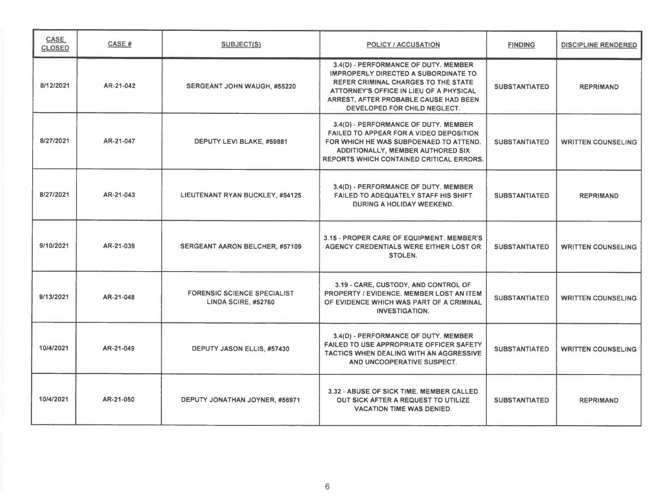| CASE<br><b>CLOSED</b> | CASE #    | <b>SUBJECT(S)</b>                                         | <b>POLICY / ACCUSATION</b>                                                                                                                                                                                                                            | <b>FINDING</b>       | <b>DISCIPLINE RENDERED</b> |
|-----------------------|-----------|-----------------------------------------------------------|-------------------------------------------------------------------------------------------------------------------------------------------------------------------------------------------------------------------------------------------------------|----------------------|----------------------------|
| 8/12/2021             | AR-21-042 | <b>SERGEANT JOHN WAUGH, #55220</b>                        | 3.4(D) - PERFORMANCE OF DUTY. MEMBER<br><b>IMPROPERLY DIRECTED A SUBORDINATE TO</b><br><b>REFER CRIMINAL CHARGES TO THE STATE</b><br>ATTORNEY'S OFFICE IN LIEU OF A PHYSICAL<br>ARREST, AFTER PROBABLE CAUSE HAD BEEN<br>DEVELOPED FOR CHILD NEGLECT. | <b>SUBSTANTIATED</b> | <b>REPRIMAND</b>           |
| 8/27/2021             | AR-21-047 | DEPUTY LEVI BLAKE, #59881                                 | 3.4(D) - PERFORMANCE OF DUTY. MEMBER<br><b>FAILED TO APPEAR FOR A VIDEO DEPOSITION</b><br>FOR WHICH HE WAS SUBPOENAED TO ATTEND.<br>ADDITIONALLY, MEMBER AUTHORED SIX<br><b>REPORTS WHICH CONTAINED CRITICAL ERRORS.</b>                              | <b>SUBSTANTIATED</b> | <b>WRITTEN COUNSELING</b>  |
| 8/27/2021             | AR-21-043 | LIEUTENANT RYAN BUCKLEY, #54125                           | 3.4(D) - PERFORMANCE OF DUTY. MEMBER<br>FAILED TO ADEQUATELY STAFF HIS SHIFT<br>DURING A HOLIDAY WEEKEND.                                                                                                                                             | <b>SUBSTANTIATED</b> | <b>REPRIMAND</b>           |
| 9/10/2021             | AR-21-039 | <b>SERGEANT AARON BELCHER, #57109</b>                     | 3.15 - PROPER CARE OF EQUIPMENT. MEMBER'S<br>AGENCY CREDENTIALS WERE EITHER LOST OR<br>STOLEN.                                                                                                                                                        | <b>SUBSTANTIATED</b> | <b>WRITTEN COUNSELING</b>  |
| 9/13/2021             | AR-21-048 | <b>FORENSIC SCIENCE SPECIALIST</b><br>LINDA SCIRE, #52760 | 3.19 - CARE, CUSTODY, AND CONTROL OF<br>PROPERTY / EVIDENCE. MEMBER LOST AN ITEM<br>OF EVIDENCE WHICH WAS PART OF A CRIMINAL<br><b>INVESTIGATION.</b>                                                                                                 | <b>SUBSTANTIATED</b> | <b>WRITTEN COUNSELING</b>  |
| 10/4/2021             | AR-21-049 | DEPUTY JASON ELLIS, #57430                                | 3.4(D) - PERFORMANCE OF DUTY. MEMBER.<br><b>FAILED TO USE APPROPRIATE OFFICER SAFETY</b><br>TACTICS WHEN DEALING WITH AN AGGRESSIVE<br>AND UNCOOPERATIVE SUSPECT.                                                                                     | <b>SUBSTANTIATED</b> | <b>WRITTEN COUNSELING</b>  |
| 10/4/2021             | AR-21-050 | DEPUTY JONATHAN JOYNER, #56971                            | 3.32 - ABUSE OF SICK TIME, MEMBER CALLED<br>OUT SICK AFTER A REQUEST TO UTILIZE<br><b>VACATION TIME WAS DENIED.</b>                                                                                                                                   | <b>SUBSTANTIATED</b> | <b>REPRIMAND</b>           |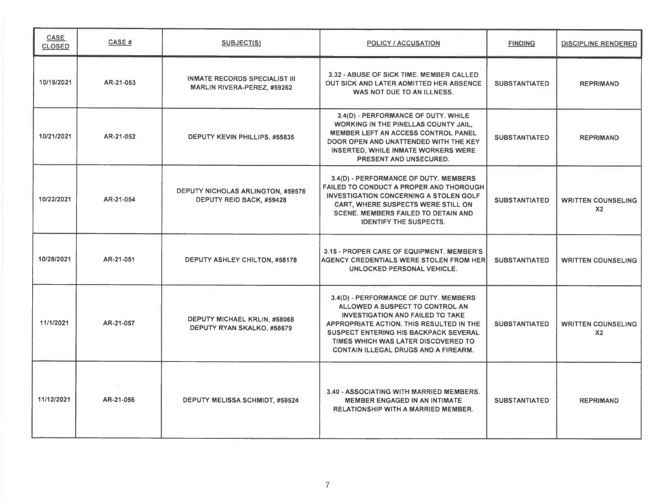| <b>CASE</b><br><b>CLOSED</b> | <b>CASE#</b> | SUBJECT(S)                                                           | <b>POLICY / ACCUSATION</b>                                                                                                                                                                                                                                                                            | <b>FINDING</b>       | <b>DISCIPLINE RENDERED</b>                  |
|------------------------------|--------------|----------------------------------------------------------------------|-------------------------------------------------------------------------------------------------------------------------------------------------------------------------------------------------------------------------------------------------------------------------------------------------------|----------------------|---------------------------------------------|
| 10/19/2021                   | AR-21-053    | <b>INMATE RECORDS SPECIALIST III</b><br>MARLIN RIVERA-PEREZ, #59262  | 3.32 - ABUSE OF SICK TIME. MEMBER CALLED<br>OUT SICK AND LATER ADMITTED HER ABSENCE.<br>WAS NOT DUE TO AN ILLNESS.                                                                                                                                                                                    | <b>SUBSTANTIATED</b> | <b>REPRIMAND</b>                            |
| 10/21/2021                   | AR-21-052    | <b>DEPUTY KEVIN PHILLIPS, #55835</b>                                 | 3.4(D) - PERFORMANCE OF DUTY. WHILE<br><b>WORKING IN THE PINELLAS COUNTY JAIL,</b><br>MEMBER LEFT AN ACCESS CONTROL PANEL<br>DOOR OPEN AND UNATTENDED WITH THE KEY<br><b>INSERTED, WHILE INMATE WORKERS WERE</b><br>PRESENT AND UNSECURED.                                                            | <b>SUBSTANTIATED</b> | <b>REPRIMAND</b>                            |
| 10/22/2021                   | AR-21-054    | <b>DEPUTY NICHOLAS ARLINGTON, #59576</b><br>DEPUTY REID BACK, #59428 | 3.4(D) - PERFORMANCE OF DUTY. MEMBERS<br>FAILED TO CONDUCT A PROPER AND THOROUGH<br><b>INVESTIGATION CONCERNING A STOLEN GOLF</b><br>CART, WHERE SUSPECTS WERE STILL ON<br><b>SCENE. MEMBERS FAILED TO DETAIN AND</b><br><b>IDENTIFY THE SUSPECTS.</b>                                                | <b>SUBSTANTIATED</b> | <b>WRITTEN COUNSELING</b><br>X <sub>2</sub> |
| 10/28/2021                   | AR-21-051    | DEPUTY ASHLEY CHILTON, #58178                                        | 3.15 - PROPER CARE OF EQUIPMENT. MEMBER'S<br><b>AGENCY CREDENTIALS WERE STOLEN FROM HER</b><br>UNLOCKED PERSONAL VEHICLE.                                                                                                                                                                             | <b>SUBSTANTIATED</b> | <b>WRITTEN COUNSELING</b>                   |
| 11/1/2021                    | AR-21-057    | DEPUTY MICHAEL KRLIN, #58068<br>DEPUTY RYAN SKALKO, #58679           | 3.4(D) - PERFORMANCE OF DUTY. MEMBERS<br>ALLOWED A SUSPECT TO CONTROL AN<br><b>INVESTIGATION AND FAILED TO TAKE</b><br>APPROPRIATE ACTION. THIS RESULTED IN THE<br><b>SUSPECT ENTERING HIS BACKPACK SEVERAL</b><br>TIMES WHICH WAS LATER DISCOVERED TO<br><b>CONTAIN ILLEGAL DRUGS AND A FIREARM.</b> | <b>SUBSTANTIATED</b> | <b>WRITTEN COUNSELING</b><br>X <sub>2</sub> |
| 11/12/2021                   | AR-21-056    | DEPUTY MELISSA SCHMIDT, #59524                                       | 3.40 - ASSOCIATING WITH MARRIED MEMBERS.<br><b>MEMBER ENGAGED IN AN INTIMATE</b><br><b>RELATIONSHIP WITH A MARRIED MEMBER.</b>                                                                                                                                                                        | <b>SUBSTANTIATED</b> | <b>REPRIMAND</b>                            |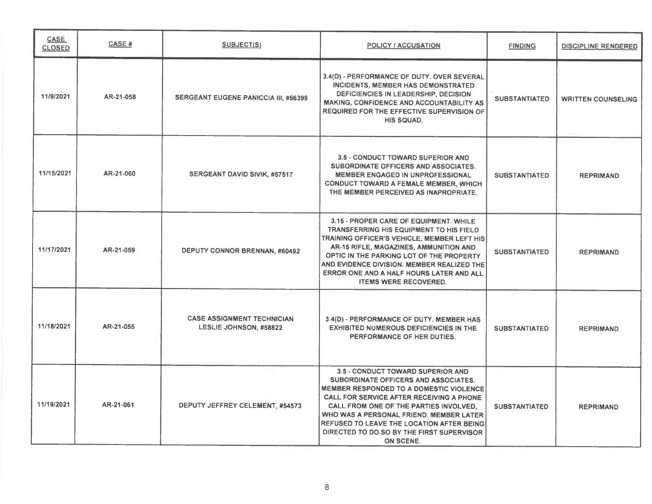| <b>CASE</b><br><b>CLOSED</b> | <b>CASE#</b> | <b>SUBJECT(S)</b>                                                  | POLICY / ACCUSATION                                                                                                                                                                                                                                                                                                                                                        | <b>FINDING</b>       | <b>DISCIPLINE RENDERED</b> |
|------------------------------|--------------|--------------------------------------------------------------------|----------------------------------------------------------------------------------------------------------------------------------------------------------------------------------------------------------------------------------------------------------------------------------------------------------------------------------------------------------------------------|----------------------|----------------------------|
| 11/9/2021                    | AR-21-058    | <b>SERGEANT EUGENE PANICCIA III, #56399</b>                        | 3.4(D) - PERFORMANCE OF DUTY. OVER SEVERAL<br>INCIDENTS, MEMBER HAS DEMONSTRATED<br>DEFICIENCIES IN LEADERSHIP, DECISION<br>MAKING, CONFIDENCE AND ACCOUNTABILITY AS<br>REQUIRED FOR THE EFFECTIVE SUPERVISION OF<br><b>HIS SQUAD.</b>                                                                                                                                     | <b>SUBSTANTIATED</b> | <b>WRITTEN COUNSELING</b>  |
| 11/15/2021                   | AR-21-060    | SERGEANT DAVID SIVIK, #57517                                       | 3.5 - CONDUCT TOWARD SUPERIOR AND<br>SUBORDINATE OFFICERS AND ASSOCIATES.<br><b>MEMBER ENGAGED IN UNPROFESSIONAL</b><br>CONDUCT TOWARD A FEMALE MEMBER, WHICH<br>THE MEMBER PERCEIVED AS INAPROPRIATE.                                                                                                                                                                     | <b>SUBSTANTIATED</b> | <b>REPRIMAND</b>           |
| 11/17/2021                   | AR-21-059    | <b>DEPUTY CONNOR BRENNAN, #60492</b>                               | 3.15 - PROPER CARE OF EQUIPMENT, WHILE<br><b>TRANSFERRING HIS EQUIPMENT TO HIS FIELD</b><br>TRAINING OFFICER'S VEHICLE, MEMBER LEFT HIS<br>AR-15 RIFLE, MAGAZINES, AMMUNITION AND<br>OPTIC IN THE PARKING LOT OF THE PROPERTY<br>AND EVIDENCE DIVISION. MEMBER REALIZED THE<br>ERROR ONE AND A HALF HOURS LATER AND ALL<br><b>ITEMS WERE RECOVERED.</b>                    | <b>SUBSTANTIATED</b> | <b>REPRIMAND</b>           |
| 11/18/2021                   | AR-21-055    | <b>CASE ASSIGNMENT TECHNICIAN</b><br><b>LESLIE JOHNSON, #58822</b> | 3.4(D) - PERFORMANCE OF DUTY. MEMBER HAS<br><b>EXHIBITED NUMEROUS DEFICIENCIES IN THE</b><br>PERFORMANCE OF HER DUTIES.                                                                                                                                                                                                                                                    | <b>SUBSTANTIATED</b> | <b>REPRIMAND</b>           |
| 11/19/2021                   | AR-21-061    | DEPUTY JEFFREY CELEMENT, #54573                                    | 3.5 - CONDUCT TOWARD SUPERIOR AND<br>SUBORDINATE OFFICERS AND ASSOCIATES.<br><b>MEMBER RESPONDED TO A DOMESTIC VIOLENCE</b><br>CALL FOR SERVICE AFTER RECEIVING A PHONE<br>CALL FROM ONE OF THE PARTIES INVOLVED.<br>WHO WAS A PERSONAL FRIEND. MEMBER LATER<br>REFUSED TO LEAVE THE LOCATION AFTER BEING<br>DIRECTED TO DO SO BY THE FIRST SUPERVISOR<br><b>ON SCENE.</b> | <b>SUBSTANTIATED</b> | <b>REPRIMAND</b>           |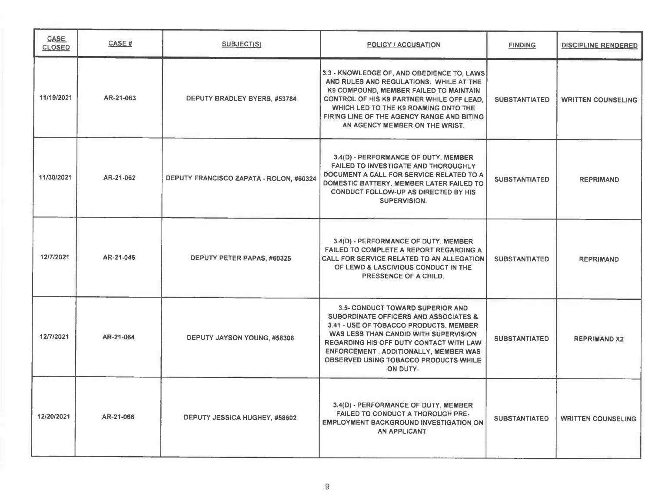| <b>CASE</b><br><b>CLOSED</b> | <b>CASE#</b> | <b>SUBJECT(S)</b>                       | <b>POLICY / ACCUSATION</b>                                                                                                                                                                                                                                                                                                                    | <b>FINDING</b>       | <b>DISCIPLINE RENDERED</b> |
|------------------------------|--------------|-----------------------------------------|-----------------------------------------------------------------------------------------------------------------------------------------------------------------------------------------------------------------------------------------------------------------------------------------------------------------------------------------------|----------------------|----------------------------|
| 11/19/2021                   | AR-21-063    | DEPUTY BRADLEY BYERS, #53784            | 3.3 - KNOWLEDGE OF, AND OBEDIENCE TO, LAWS<br>AND RULES AND REGULATIONS. WHILE AT THE<br>K9 COMPOUND, MEMBER FAILED TO MAINTAIN<br><b>CONTROL OF HIS K9 PARTNER WHILE OFF LEAD.</b><br>WHICH LED TO THE K9 ROAMING ONTO THE<br>FIRING LINE OF THE AGENCY RANGE AND BITING<br>AN AGENCY MEMBER ON THE WRIST.                                   | <b>SUBSTANTIATED</b> | <b>WRITTEN COUNSELING</b>  |
| 11/30/2021                   | AR-21-062    | DEPUTY FRANCISCO ZAPATA - ROLON, #60324 | 3.4(D) - PERFORMANCE OF DUTY. MEMBER<br><b>FAILED TO INVESTIGATE AND THOROUGHLY</b><br>DOCUMENT A CALL FOR SERVICE RELATED TO A<br>DOMESTIC BATTERY, MEMBER LATER FAILED TO<br><b>CONDUCT FOLLOW-UP AS DIRECTED BY HIS</b><br><b>SUPERVISION.</b>                                                                                             | <b>SUBSTANTIATED</b> | <b>REPRIMAND</b>           |
| 12/7/2021                    | AR-21-046    | DEPUTY PETER PAPAS, #60325              | 3.4(D) - PERFORMANCE OF DUTY. MEMBER<br><b>FAILED TO COMPLETE A REPORT REGARDING A</b><br><b>CALL FOR SERVICE RELATED TO AN ALLEGATION</b><br>OF LEWD & LASCIVIOUS CONDUCT IN THE<br>PRESSENCE OF A CHILD.                                                                                                                                    | <b>SUBSTANTIATED</b> | <b>REPRIMAND</b>           |
| 12/7/2021                    | AR-21-064    | DEPUTY JAYSON YOUNG, #58306             | <b>3.5- CONDUCT TOWARD SUPERIOR AND</b><br><b>SUBORDINATE OFFICERS AND ASSOCIATES &amp;</b><br>3.41 - USE OF TOBACCO PRODUCTS, MEMBER<br>WAS LESS THAN CANDID WITH SUPERVISION<br><b>REGARDING HIS OFF DUTY CONTACT WITH LAW</b><br><b>ENFORCEMENT . ADDITIONALLY, MEMBER WAS</b><br><b>OBSERVED USING TOBACCO PRODUCTS WHILE</b><br>ON DUTY. | <b>SUBSTANTIATED</b> | <b>REPRIMAND X2</b>        |
| 12/20/2021                   | AR-21-066    | DEPUTY JESSICA HUGHEY, #58602           | 3.4(D) - PERFORMANCE OF DUTY. MEMBER<br><b>FAILED TO CONDUCT A THOROUGH PRE-</b><br><b>EMPLOYMENT BACKGROUND INVESTIGATION ON</b><br>AN APPLICANT.                                                                                                                                                                                            | <b>SUBSTANTIATED</b> | <b>WRITTEN COUNSELING</b>  |